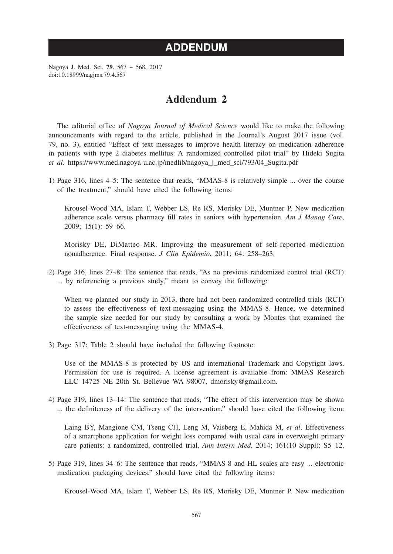## **ADDENDUM**

Nagoya J. Med. Sci. **79**. 567 ~ 568, 2017 doi:10.18999/nagjms.79.4.567

## **Addendum 2**

The editorial office of *Nagoya Journal of Medical Science* would like to make the following announcements with regard to the article, published in the Journal's August 2017 issue (vol. 79, no. 3), entitled "Effect of text messages to improve health literacy on medication adherence in patients with type 2 diabetes mellitus: A randomized controlled pilot trial" by Hideki Sugita *et al*. https://www.med.nagoya-u.ac.jp/medlib/nagoya\_j\_med\_sci/793/04\_Sugita.pdf

1) Page 316, lines 4–5: The sentence that reads, "MMAS-8 is relatively simple ... over the course of the treatment," should have cited the following items:

 Krousel-Wood MA, Islam T, Webber LS, Re RS, Morisky DE, Muntner P. New medication adherence scale versus pharmacy fill rates in seniors with hypertension. *Am J Manag Care*, 2009; 15(1): 59–66.

 Morisky DE, DiMatteo MR. Improving the measurement of self-reported medication nonadherence: Final response. *J Clin Epidemio*, 2011; 64: 258–263.

2) Page 316, lines 27–8: The sentence that reads, "As no previous randomized control trial (RCT) ... by referencing a previous study," meant to convey the following:

 When we planned our study in 2013, there had not been randomized controlled trials (RCT) to assess the effectiveness of text-messaging using the MMAS-8. Hence, we determined the sample size needed for our study by consulting a work by Montes that examined the effectiveness of text-messaging using the MMAS-4.

3) Page 317: Table 2 should have included the following footnote:

 Use of the MMAS-8 is protected by US and international Trademark and Copyright laws. Permission for use is required. A license agreement is available from: MMAS Research LLC 14725 NE 20th St. Bellevue WA 98007, dmorisky@gmail.com.

4) Page 319, lines 13–14: The sentence that reads, "The effect of this intervention may be shown ... the definiteness of the delivery of the intervention," should have cited the following item:

 Laing BY, Mangione CM, Tseng CH, Leng M, Vaisberg E, Mahida M, *et al*. Effectiveness of a smartphone application for weight loss compared with usual care in overweight primary care patients: a randomized, controlled trial. *Ann Intern Med*. 2014; 161(10 Suppl): S5–12.

5) Page 319, lines 34–6: The sentence that reads, "MMAS-8 and HL scales are easy ... electronic medication packaging devices," should have cited the following items:

Krousel-Wood MA, Islam T, Webber LS, Re RS, Morisky DE, Muntner P. New medication